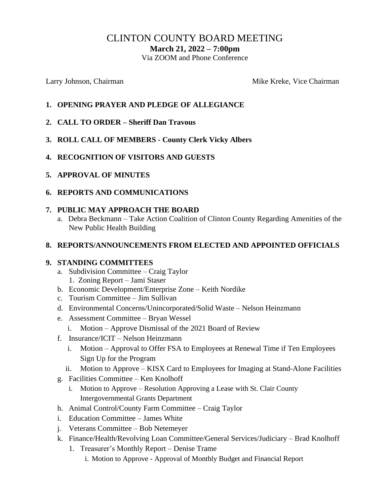# CLINTON COUNTY BOARD MEETING

**March 21, 2022 – 7:00pm**

Via ZOOM and Phone Conference

Larry Johnson, Chairman Mike Kreke, Vice Chairman Mike Kreke, Vice Chairman

#### **1. OPENING PRAYER AND PLEDGE OF ALLEGIANCE**

- **2. CALL TO ORDER – Sheriff Dan Travous**
- **3. ROLL CALL OF MEMBERS - County Clerk Vicky Albers**
- **4. RECOGNITION OF VISITORS AND GUESTS**
- **5. APPROVAL OF MINUTES**
- **6. REPORTS AND COMMUNICATIONS**

#### **7. PUBLIC MAY APPROACH THE BOARD**

 a. Debra Beckmann – Take Action Coalition of Clinton County Regarding Amenities of the New Public Health Building

#### **8. REPORTS/ANNOUNCEMENTS FROM ELECTED AND APPOINTED OFFICIALS**

#### **9. STANDING COMMITTEES**

- a. Subdivision Committee Craig Taylor 1. Zoning Report – Jami Staser
- b. Economic Development/Enterprise Zone Keith Nordike
- c. Tourism Committee Jim Sullivan
- d. Environmental Concerns/Unincorporated/Solid Waste Nelson Heinzmann
- e. Assessment Committee Bryan Wessel
	- i. Motion Approve Dismissal of the 2021 Board of Review
- f. Insurance/ICIT Nelson Heinzmann
	- i. Motion Approval to Offer FSA to Employees at Renewal Time if Ten Employees Sign Up for the Program
	- ii. Motion to Approve KISX Card to Employees for Imaging at Stand-Alone Facilities
- g. Facilities Committee Ken Knolhoff
	- i. Motion to Approve Resolution Approving a Lease with St. Clair County Intergovernmental Grants Department
- h. Animal Control/County Farm Committee Craig Taylor
- i. Education Committee James White
- j. Veterans Committee Bob Netemeyer
- k. Finance/Health/Revolving Loan Committee/General Services/Judiciary Brad Knolhoff
	- 1. Treasurer's Monthly Report Denise Trame
		- i. Motion to Approve Approval of Monthly Budget and Financial Report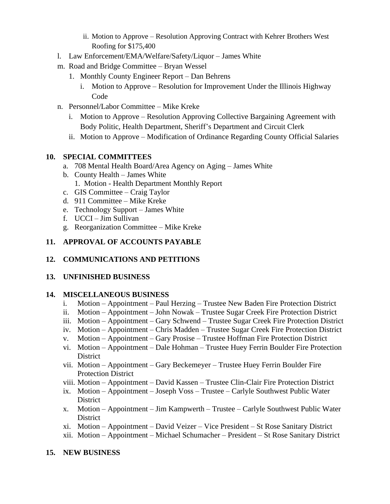- ii. Motion to Approve Resolution Approving Contract with Kehrer Brothers West Roofing for \$175,400
- l. Law Enforcement/EMA/Welfare/Safety/Liquor James White
- m. Road and Bridge Committee Bryan Wessel
	- 1. Monthly County Engineer Report Dan Behrens
		- i. Motion to Approve Resolution for Improvement Under the Illinois Highway Code
- n. Personnel/Labor Committee Mike Kreke
	- i. Motion to Approve Resolution Approving Collective Bargaining Agreement with Body Politic, Health Department, Sheriff's Department and Circuit Clerk
	- ii. Motion to Approve Modification of Ordinance Regarding County Official Salaries

### **10. SPECIAL COMMITTEES**

- a. 708 Mental Health Board/Area Agency on Aging James White
- b. County Health James White
	- 1. Motion Health Department Monthly Report
- c. GIS Committee Craig Taylor
- d. 911 Committee Mike Kreke
- e. Technology Support James White
- f. UCCI Jim Sullivan
- g. Reorganization Committee Mike Kreke

### **11. APPROVAL OF ACCOUNTS PAYABLE**

## **12. COMMUNICATIONS AND PETITIONS**

#### **13. UNFINISHED BUSINESS**

#### **14. MISCELLANEOUS BUSINESS**

- i. Motion Appointment Paul Herzing Trustee New Baden Fire Protection District
- ii. Motion Appointment John Nowak Trustee Sugar Creek Fire Protection District
- iii. Motion Appointment Gary Schwend Trustee Sugar Creek Fire Protection District
- iv. Motion Appointment Chris Madden Trustee Sugar Creek Fire Protection District
- v. Motion Appointment Gary Prosise Trustee Hoffman Fire Protection District
- vi. Motion Appointment Dale Hohman Trustee Huey Ferrin Boulder Fire Protection District
- vii. Motion Appointment Gary Beckemeyer Trustee Huey Ferrin Boulder Fire Protection District
- viii. Motion Appointment David Kassen Trustee Clin-Clair Fire Protection District
- ix. Motion Appointment Joseph Voss Trustee Carlyle Southwest Public Water **District**
- x. Motion Appointment Jim Kampwerth Trustee Carlyle Southwest Public Water District
- xi. Motion Appointment David Veizer Vice President St Rose Sanitary District
- xii. Motion Appointment Michael Schumacher President St Rose Sanitary District

#### **15. NEW BUSINESS**